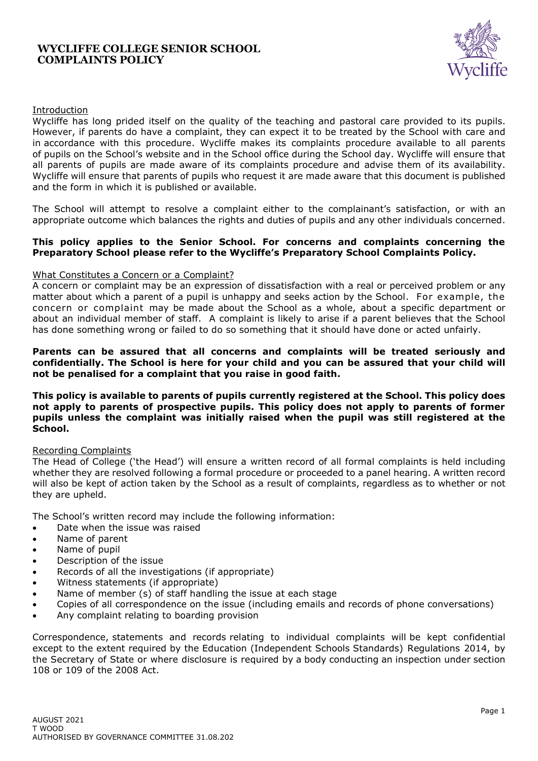### **WYCLIFFE COLLEGE SENIOR SCHOOL COMPLAINTS POLICY**



## Introduction

Wycliffe has long prided itself on the quality of the teaching and pastoral care provided to its pupils. However, if parents do have a complaint, they can expect it to be treated by the School with care and in accordance with this procedure. Wycliffe makes its complaints procedure available to all parents of pupils on the School's website and in the School office during the School day. Wycliffe will ensure that all parents of pupils are made aware of its complaints procedure and advise them of its availability. Wycliffe will ensure that parents of pupils who request it are made aware that this document is published and the form in which it is published or available.

The School will attempt to resolve a complaint either to the complainant's satisfaction, or with an appropriate outcome which balances the rights and duties of pupils and any other individuals concerned.

#### **This policy applies to the Senior School. For concerns and complaints concerning the Preparatory School please refer to the Wycliffe's Preparatory School Complaints Policy.**

#### What Constitutes a Concern or a Complaint?

A concern or complaint may be an expression of dissatisfaction with a real or perceived problem or any matter about which a parent of a pupil is unhappy and seeks action by the School. For example, the concern or complaint may be made about the School as a whole, about a specific department or about an individual member of staff. A complaint is likely to arise if a parent believes that the School has done something wrong or failed to do so something that it should have done or acted unfairly.

#### **Parents can be assured that all concerns and complaints will be treated seriously and confidentially. The School is here for your child and you can be assured that your child will not be penalised for a complaint that you raise in good faith.**

**This policy is available to parents of pupils currently registered at the School. This policy does not apply to parents of prospective pupils. This policy does not apply to parents of former pupils unless the complaint was initially raised when the pupil was still registered at the School.**

#### Recording Complaints

The Head of College ('the Head') will ensure a written record of all formal complaints is held including whether they are resolved following a formal procedure or proceeded to a panel hearing. A written record will also be kept of action taken by the School as a result of complaints, regardless as to whether or not they are upheld.

The School's written record may include the following information:

- Date when the issue was raised
- Name of parent
- Name of pupil
- Description of the issue
- Records of all the investigations (if appropriate)
- Witness statements (if appropriate)
- Name of member (s) of staff handling the issue at each stage
- Copies of all correspondence on the issue (including emails and records of phone conversations)
- Any complaint relating to boarding provision

Correspondence, statements and records relating to individual complaints will be kept confidential except to the extent required by the Education (Independent Schools Standards) Regulations 2014, by the Secretary of State or where disclosure is required by a body conducting an inspection under section 108 or 109 of the 2008 Act.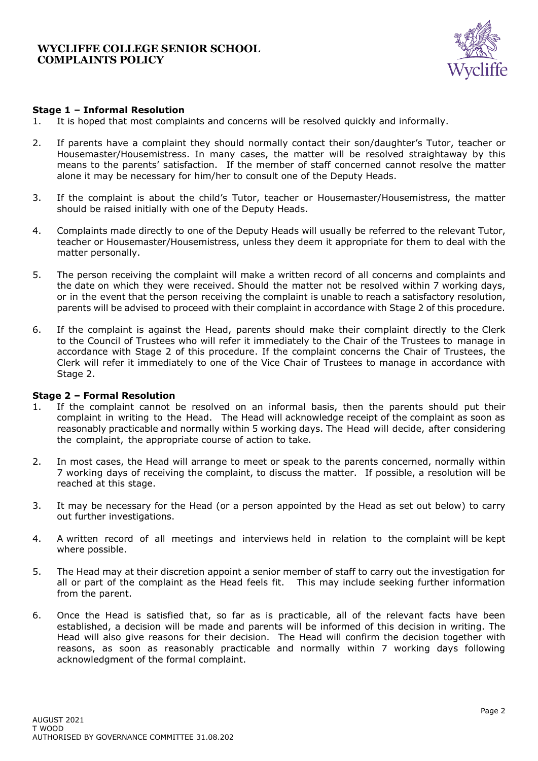

## **Stage 1 – Informal Resolution**

- 1. It is hoped that most complaints and concerns will be resolved quickly and informally.
- 2. If parents have a complaint they should normally contact their son/daughter's Tutor, teacher or Housemaster/Housemistress. In many cases, the matter will be resolved straightaway by this means to the parents' satisfaction. If the member of staff concerned cannot resolve the matter alone it may be necessary for him/her to consult one of the Deputy Heads.
- 3. If the complaint is about the child's Tutor, teacher or Housemaster/Housemistress, the matter should be raised initially with one of the Deputy Heads.
- 4. Complaints made directly to one of the Deputy Heads will usually be referred to the relevant Tutor, teacher or Housemaster/Housemistress, unless they deem it appropriate for them to deal with the matter personally.
- 5. The person receiving the complaint will make a written record of all concerns and complaints and the date on which they were received. Should the matter not be resolved within 7 working days, or in the event that the person receiving the complaint is unable to reach a satisfactory resolution, parents will be advised to proceed with their complaint in accordance with Stage 2 of this procedure.
- 6. If the complaint is against the Head, parents should make their complaint directly to the Clerk to the Council of Trustees who will refer it immediately to the Chair of the Trustees to manage in accordance with Stage 2 of this procedure. If the complaint concerns the Chair of Trustees, the Clerk will refer it immediately to one of the Vice Chair of Trustees to manage in accordance with Stage 2.

#### **Stage 2 – Formal Resolution**

- 1. If the complaint cannot be resolved on an informal basis, then the parents should put their complaint in writing to the Head. The Head will acknowledge receipt of the complaint as soon as reasonably practicable and normally within 5 working days. The Head will decide, after considering the complaint, the appropriate course of action to take.
- 2. In most cases, the Head will arrange to meet or speak to the parents concerned, normally within 7 working days of receiving the complaint, to discuss the matter. If possible, a resolution will be reached at this stage.
- 3. It may be necessary for the Head (or a person appointed by the Head as set out below) to carry out further investigations.
- 4. A written record of all meetings and interviews held in relation to the complaint will be kept where possible.
- 5. The Head may at their discretion appoint a senior member of staff to carry out the investigation for all or part of the complaint as the Head feels fit. This may include seeking further information from the parent.
- 6. Once the Head is satisfied that, so far as is practicable, all of the relevant facts have been established, a decision will be made and parents will be informed of this decision in writing. The Head will also give reasons for their decision. The Head will confirm the decision together with reasons, as soon as reasonably practicable and normally within 7 working days following acknowledgment of the formal complaint.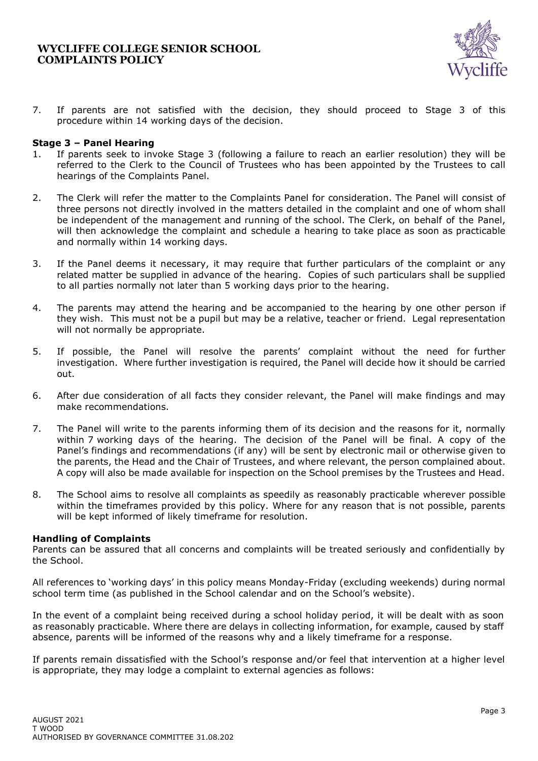## **WYCLIFFE COLLEGE SENIOR SCHOOL COMPLAINTS POLICY**



7. If parents are not satisfied with the decision, they should proceed to Stage 3 of this procedure within 14 working days of the decision.

## **Stage 3 – Panel Hearing**

- 1. If parents seek to invoke Stage 3 (following a failure to reach an earlier resolution) they will be referred to the Clerk to the Council of Trustees who has been appointed by the Trustees to call hearings of the Complaints Panel.
- 2. The Clerk will refer the matter to the Complaints Panel for consideration. The Panel will consist of three persons not directly involved in the matters detailed in the complaint and one of whom shall be independent of the management and running of the school. The Clerk, on behalf of the Panel, will then acknowledge the complaint and schedule a hearing to take place as soon as practicable and normally within 14 working days.
- 3. If the Panel deems it necessary, it may require that further particulars of the complaint or any related matter be supplied in advance of the hearing. Copies of such particulars shall be supplied to all parties normally not later than 5 working days prior to the hearing.
- 4. The parents may attend the hearing and be accompanied to the hearing by one other person if they wish. This must not be a pupil but may be a relative, teacher or friend. Legal representation will not normally be appropriate.
- 5. If possible, the Panel will resolve the parents' complaint without the need for further investigation. Where further investigation is required, the Panel will decide how it should be carried out.
- 6. After due consideration of all facts they consider relevant, the Panel will make findings and may make recommendations.
- 7. The Panel will write to the parents informing them of its decision and the reasons for it, normally within 7 working days of the hearing. The decision of the Panel will be final. A copy of the Panel's findings and recommendations (if any) will be sent by electronic mail or otherwise given to the parents, the Head and the Chair of Trustees, and where relevant, the person complained about. A copy will also be made available for inspection on the School premises by the Trustees and Head.
- 8. The School aims to resolve all complaints as speedily as reasonably practicable wherever possible within the timeframes provided by this policy. Where for any reason that is not possible, parents will be kept informed of likely timeframe for resolution.

#### **Handling of Complaints**

Parents can be assured that all concerns and complaints will be treated seriously and confidentially by the School.

All references to 'working days' in this policy means Monday-Friday (excluding weekends) during normal school term time (as published in the School calendar and on the School's website).

In the event of a complaint being received during a school holiday period, it will be dealt with as soon as reasonably practicable. Where there are delays in collecting information, for example, caused by staff absence, parents will be informed of the reasons why and a likely timeframe for a response.

If parents remain dissatisfied with the School's response and/or feel that intervention at a higher level is appropriate, they may lodge a complaint to external agencies as follows: